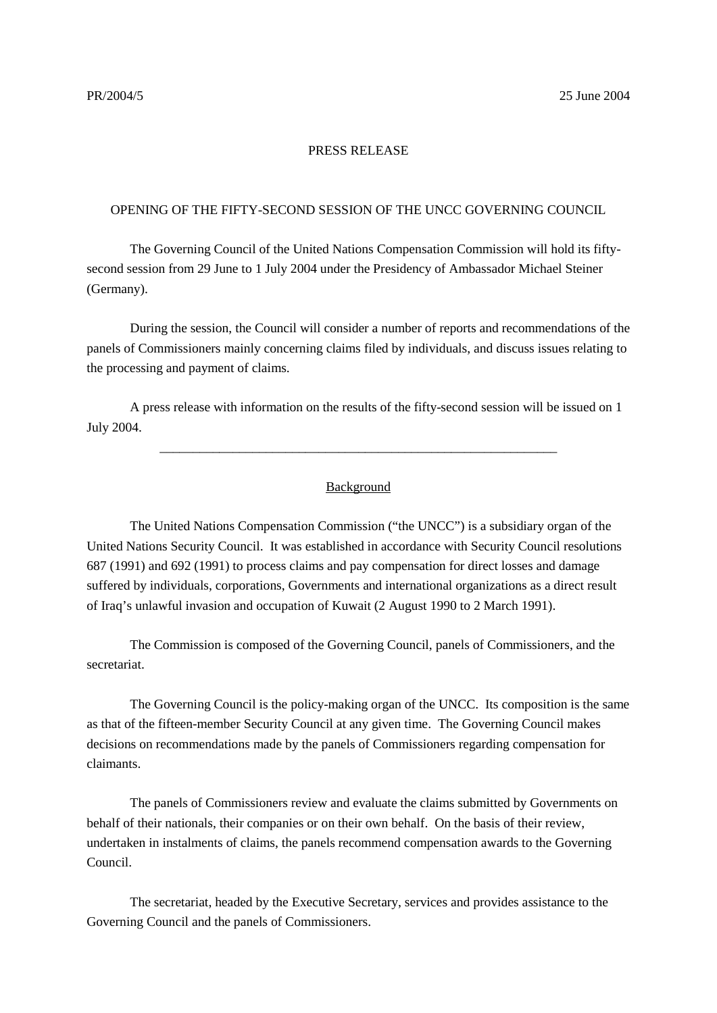## PRESS RELEASE

## OPENING OF THE FIFTY-SECOND SESSION OF THE UNCC GOVERNING COUNCIL

The Governing Council of the United Nations Compensation Commission will hold its fiftysecond session from 29 June to 1 July 2004 under the Presidency of Ambassador Michael Steiner (Germany).

During the session, the Council will consider a number of reports and recommendations of the panels of Commissioners mainly concerning claims filed by individuals, and discuss issues relating to the processing and payment of claims.

A press release with information on the results of the fifty-second session will be issued on 1 July 2004.

## Background

\_\_\_\_\_\_\_\_\_\_\_\_\_\_\_\_\_\_\_\_\_\_\_\_\_\_\_\_\_\_\_\_\_\_\_\_\_\_\_\_\_\_\_\_\_\_\_\_\_\_\_\_\_\_\_\_\_\_\_\_

The United Nations Compensation Commission ("the UNCC") is a subsidiary organ of the United Nations Security Council. It was established in accordance with Security Council resolutions 687 (1991) and 692 (1991) to process claims and pay compensation for direct losses and damage suffered by individuals, corporations, Governments and international organizations as a direct result of Iraq's unlawful invasion and occupation of Kuwait (2 August 1990 to 2 March 1991).

The Commission is composed of the Governing Council, panels of Commissioners, and the secretariat.

The Governing Council is the policy-making organ of the UNCC. Its composition is the same as that of the fifteen-member Security Council at any given time. The Governing Council makes decisions on recommendations made by the panels of Commissioners regarding compensation for claimants.

The panels of Commissioners review and evaluate the claims submitted by Governments on behalf of their nationals, their companies or on their own behalf. On the basis of their review, undertaken in instalments of claims, the panels recommend compensation awards to the Governing Council.

The secretariat, headed by the Executive Secretary, services and provides assistance to the Governing Council and the panels of Commissioners.